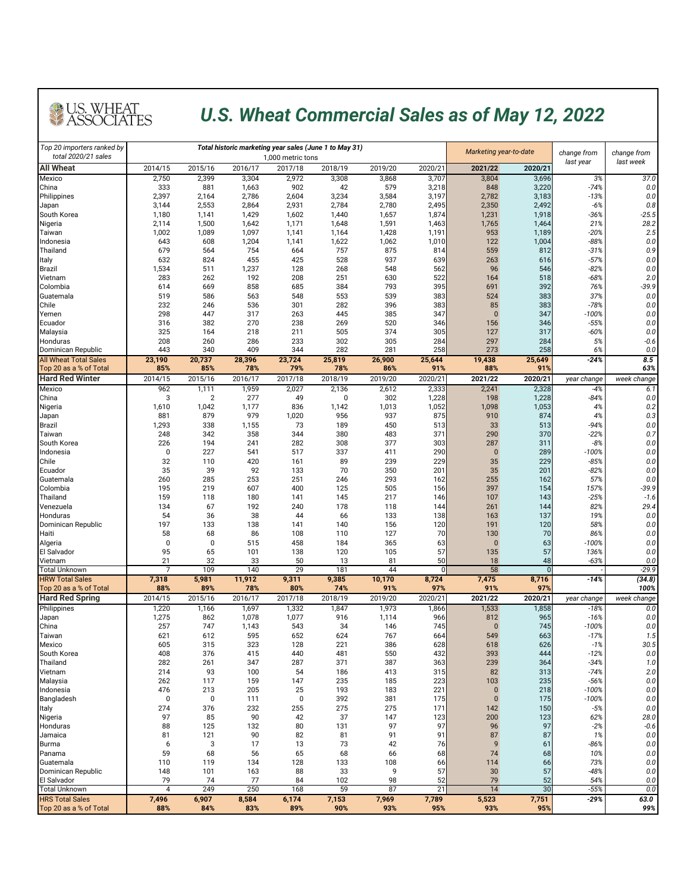| Top 20 importers ranked by<br>total 2020/21 sales      |                         |                         |                | Total historic marketing year sales (June 1 to May 31)<br>1,000 metric tons |                           |                |                |                       | Marketing year-to-date<br>change from |                   | change from        |
|--------------------------------------------------------|-------------------------|-------------------------|----------------|-----------------------------------------------------------------------------|---------------------------|----------------|----------------|-----------------------|---------------------------------------|-------------------|--------------------|
| <b>All Wheat</b>                                       | 2014/15                 | 2015/16                 | 2016/17        | 2017/18                                                                     | 2018/19                   | 2019/20        | 2020/21        | 2021/22               | 2020/21                               | last year         | last week          |
| Mexico<br>China                                        | 2,750<br>333            | 2,399<br>881            | 3,304<br>1,663 | 2,972<br>902                                                                | 3,308<br>42               | 3,868<br>579   | 3,707<br>3,218 | 3,804<br>848          | 3,696<br>3,220                        | 3%<br>$-74%$      | 37.0<br>0.0        |
| Philippines                                            | 2,397                   | 2,164                   | 2,786          | 2,604                                                                       | 3,234                     | 3,584          | 3,197          | 2,782                 | 3,183                                 | $-13%$            | 0.0                |
| Japan                                                  | 3,144                   | 2,553                   | 2,864          | 2,931                                                                       | 2,784                     | 2,780          | 2,495          | 2,350                 | 2,492                                 | $-6%$             | 0.8                |
| South Korea<br>Nigeria                                 | 1,180<br>2,114          | 1,141<br>1,500          | 1,429<br>1,642 | 1,602<br>1,171                                                              | 1,440<br>1,648            | 1,657<br>1,591 | 1,874<br>1,463 | 1,231<br>1,765        | 1,918<br>1,464                        | $-36%$<br>21%     | $-25.5$<br>28.2    |
| Taiwan                                                 | 1,002                   | 1,089                   | 1,097          | 1,141                                                                       | 1,164                     | 1,428          | 1,191          | 953                   | 1,189                                 | $-20%$            | 2.5                |
| Indonesia                                              | 643                     | 608                     | 1,204          | 1,141                                                                       | 1,622                     | 1,062          | 1,010          | 122                   | 1,004                                 | $-88%$            | 0.0                |
| Thailand                                               | 679                     | 564                     | 754<br>455     | 664                                                                         | 757                       | 875<br>937     | 814            | 559                   | 812                                   | $-31%$            | 0.9                |
| <b>Italy</b><br><b>Brazil</b>                          | 632<br>1,534            | 824<br>511              | 1,237          | 425<br>128                                                                  | 528<br>268                | 548            | 639<br>562     | 263<br>96             | 616<br>546                            | $-57%$<br>$-82%$  | 0.0<br>0.0         |
| Vietnam                                                | 283                     | 262                     | 192            | 208                                                                         | 251                       | 630            | 522            | 164                   | 518                                   | $-68%$            | 2.0                |
| Colombia                                               | 614                     | 669                     | 858            | 685                                                                         | 384                       | 793            | 395            | 691                   | 392                                   | 76%               | $-39.9$            |
| Guatemala<br><b>Chile</b>                              | 519<br>232              | 586<br>246              | 563<br>536     | 548<br>301                                                                  | 553<br>282                | 539<br>396     | 383<br>383     | 524<br>85             | 383<br>383                            | 37%<br>$-78%$     | 0.0<br>0.0         |
| Yemen                                                  | 298                     | 447                     | 317            | 263                                                                         | 445                       | 385            | 347            | $\overline{0}$        | 347                                   | $-100%$           | 0.0                |
| <b>Ecuador</b>                                         | 316                     | 382                     | 270            | 238                                                                         | 269                       | 520            | 346            | 156                   | 346                                   | $-55%$            | 0.0                |
| Malaysia<br>Honduras                                   | 325<br>208              | 164<br>260              | 218<br>286     | 211<br>233                                                                  | 505<br>302                | 374<br>305     | 305<br>284     | 127<br>297            | 317<br>284                            | $-60%$<br>5%      | 0.0<br>$-0.6$      |
| Dominican Republic                                     | 443                     | 340                     | 409            | 344                                                                         | 282                       | 281            | 258            | 273                   | 258                                   | 6%                | 0.0                |
| <b>All Wheat Total Sales</b><br>Top 20 as a % of Total | 23,190<br>85%           | 20,737<br>85%           | 28,396<br>78%  | 23,724<br>79%                                                               | 25,819<br>78%             | 26,900<br>86%  | 25,644<br>91%  | 19,438<br>88%         | 25,649<br>91%                         | $-24%$            | 8.5<br>63%         |
| <b>Hard Red Winter</b>                                 | 2014/15                 | 2015/16                 | 2016/17        | 2017/18                                                                     | 2018/19                   | 2019/20        | 2020/21        | 2021/22               | 2020/21                               | year change       | week change        |
| Mexico                                                 | 962                     | 1,111                   | 1,959          | 2,027                                                                       | 2,136                     | 2,612          | 2,333          | 2,241                 | 2,328                                 | $-4%$             | 6.1                |
| China<br>Nigeria                                       | 3<br>1,610              | $\overline{2}$<br>1,042 | 277<br>1,177   | 49<br>836                                                                   | $\boldsymbol{0}$<br>1,142 | 302<br>1,013   | 1,228<br>1,052 | 198<br>1,098          | 1,228<br>1,053                        | -84%<br>4%        | 0.0<br>0.2         |
| Japan                                                  | 881                     | 879                     | 979            | 1,020                                                                       | 956                       | 937            | 875            | 910                   | 874                                   | 4%                | 0.3                |
| <b>Brazil</b>                                          | 1,293                   | 338                     | 1,155          | 73                                                                          | 189                       | 450            | 513            | 33                    | 513                                   | $-94%$            | $0.0\,$            |
| Taiwan<br>South Korea                                  | 248<br>226              | 342<br>194              | 358<br>241     | 344<br>282                                                                  | 380<br>308                | 483<br>377     | 371<br>303     | 290<br>287            | 370<br>311                            | $-22%$<br>$-8%$   | 0.7<br>0.0         |
| Indonesia                                              | $\overline{0}$          | 227                     | 541            | 517                                                                         | 337                       | 411            | 290            | $\mathbf{0}$          | 289                                   | $-100%$           | 0.0                |
| Chile                                                  | 32                      | 110                     | 420            | 161                                                                         | 89                        | 239            | 229            | 35                    | 229                                   | $-85%$            | 0.0                |
| Ecuador                                                | 35                      | 39                      | 92             | 133                                                                         | 70                        | 350            | 201            | 35                    | 201                                   | $-82%$            | 0.0                |
| Guatemala<br>Colombia                                  | 260<br>195              | 285<br>219              | 253<br>607     | 251<br>400                                                                  | 246<br>125                | 293<br>505     | 162<br>156     | 255<br>397            | 162<br>154                            | 57%<br>157%       | $0.0\,$<br>$-39.9$ |
| Thailand                                               | 159                     | 118                     | 180            | 141                                                                         | 145                       | 217            | 146            | 107                   | 143                                   | $-25%$            | $-1.6$             |
| Venezuela                                              | 134                     | 67                      | 192            | 240                                                                         | 178                       | 118            | 144            | 261                   | 144                                   | 82%               | 29.4               |
| Honduras<br>Dominican Republic                         | 54<br>197               | 36<br>133               | 38<br>138      | 44<br>141                                                                   | 66<br>140                 | 133<br>156     | 138<br>120     | 163<br>191            | 137<br>120                            | 19%<br>58%        | 0.0<br>$0.0\,$     |
| Haiti                                                  | 58                      | 68                      | 86             | 108                                                                         | 110                       | 127            | 70             | 130                   | 70                                    | 86%               | 0.0                |
| Algeria                                                |                         | $\overline{0}$          | 515            | 458                                                                         | 184                       | 365            | 63             | $\overline{0}$        | 63                                    | $-100%$           | 0.0                |
| <b>El Salvador</b><br>Vietnam                          | 95<br>21                | 65<br>32                | 101<br>33      | 138<br>50                                                                   | 120<br>13                 | 105<br>81      | 57<br>50       | 135<br>18             | 57<br>48                              | 136%<br>$-63%$    | 0.0<br>0.0         |
| <b>Total Unknown</b>                                   | $\overline{ }$          | 109                     | 140            | 29                                                                          | 181                       | 44             |                | 58                    | $\Omega$                              |                   | $-29.9$            |
| <b>HRW Total Sales</b><br>Top 20 as a % of Total       | 7,318<br>88%            | 5,981<br>89%            | 11,912<br>78%  | 9,311<br>80%                                                                | 9,385<br>74%              | 10,170<br>91%  | 8,724<br>97%   | 7,475<br>91%          | 8,716<br>97%                          | $-14%$            | (34.8)<br>100%     |
| <b>Hard Red Spring</b>                                 | 2014/15                 | 2015/16                 | 2016/17        | 2017/18                                                                     | 2018/19                   | 2019/20        | 2020/21        | 2021/22               | 2020/21                               | year change       | week change        |
| Philippines                                            | 1,220                   | 1,166                   | 1,697          | 1,332                                                                       | 1,847                     | 1,973          | 1,866          | 1,533                 | 1,858                                 | $-18%$            | 0.0                |
| Japan<br>China                                         | 1,275<br>257            | 862<br>747              | 1,078          | 1,077<br>543                                                                | 916<br>34                 | 1,114          | 966<br>745     | 812<br>$\mathbf{0}$   | 965<br>745                            | $-16%$<br>$-100%$ | 0.0<br>$0.0\,$     |
| Taiwan                                                 | 621                     | 612                     | 1,143<br>595   | 652                                                                         | 624                       | 146<br>767     | 664            | 549                   | 663                                   | $-17%$            | 1.5                |
| Mexico                                                 | 605                     | 315                     | 323            | 128                                                                         | 221                       | 386            | 628            | 618                   | 626                                   | $-1%$             | 30.5               |
| South Korea                                            | 408                     | 376                     | 415            | 440                                                                         | 481                       | 550            | 432            | 393                   | 444                                   | $-12%$            | 0.0                |
| Thailand<br>Vietnam                                    | 282<br>214              | 261<br>93               | 347<br>100     | 287<br>54                                                                   | 371<br>186                | 387<br>413     | 363<br>315     | 239<br>82             | 364<br>313                            | $-34%$<br>$-74%$  | 1.0<br>2.0         |
| Malaysia                                               | 262                     | 117                     | 159            | 147                                                                         | 235                       | 185            | 223            | 103                   | 235                                   | $-56%$            | $0.0\,$            |
| Indonesia                                              | 476                     | 213                     | 205            | 25                                                                          | 193                       | 183            | 221            | $\mathbf 0$           | 218                                   | $-100%$           | $0.0\,$            |
| Bangladesh<br>Italy                                    | $\boldsymbol{0}$<br>274 | $\mathbf 0$<br>376      | 111<br>232     | $\mathbf 0$<br>255                                                          | 392<br>275                | 381<br>275     | 175<br>171     | $\overline{0}$<br>142 | 175<br>150                            | $-100%$<br>$-5%$  | 0.0<br>$0.0\,$     |
| Nigeria                                                | 97                      | 85                      | 90             | 42                                                                          | 37                        | 147            | 123            | 200                   | 123                                   | 62%               | 28.0               |
| Honduras                                               | 88                      | 125                     | 132            | 80                                                                          | 131                       | 97             | 97             | 96                    | 97                                    | $-2%$             | $-0.6$             |
| Jamaica                                                | 81                      | 121                     | 90             | 82                                                                          | 81                        | 91             | 91             | 87                    | 87                                    | 1%                | $0.0\,$            |
| <b>Burma</b><br>Panama                                 | 6<br>59                 | 3<br>68                 | 17<br>56       | 13<br>65                                                                    | 73<br>68                  | 42<br>66       | 76<br>68       | 9<br>74               | 61<br>68                              | $-86%$<br>10%     | $0.0\,$<br>$0.0\,$ |
| Guatemala                                              | 110                     | 119                     | 134            | 128                                                                         | 133                       | 108            | 66             | 114                   | 66                                    | 73%               | $0.0\,$            |
| Dominican Republic                                     | 148                     | 101                     | 163            | 88                                                                          | 33                        | 9              | 57             | 30                    | 57                                    | $-48%$            | 0.0                |
| <b>El Salvador</b><br><b>Total Unknown</b>             | 79<br>4                 | 74<br>249               | 77<br>250      | 84<br>168                                                                   | 102<br>59                 | 98<br>87       | 52<br>21       | 79<br>14              | 52<br>30                              | 54%<br>$-55%$     | 0.0<br>0.0         |
| <b>HRS Total Sales</b>                                 | 7,496                   | 6,907                   | 8,584          | 6,174                                                                       | 7,153                     | 7,969          | 7,789          | 5,523                 | 7,751                                 | $-29%$            | 63.0               |
| Top 20 as a % of Total                                 | 88%                     | 84%                     | 83%            | 89%                                                                         | 90%                       | 93%            | 95%            | 93%                   | 95%                                   |                   | 99%                |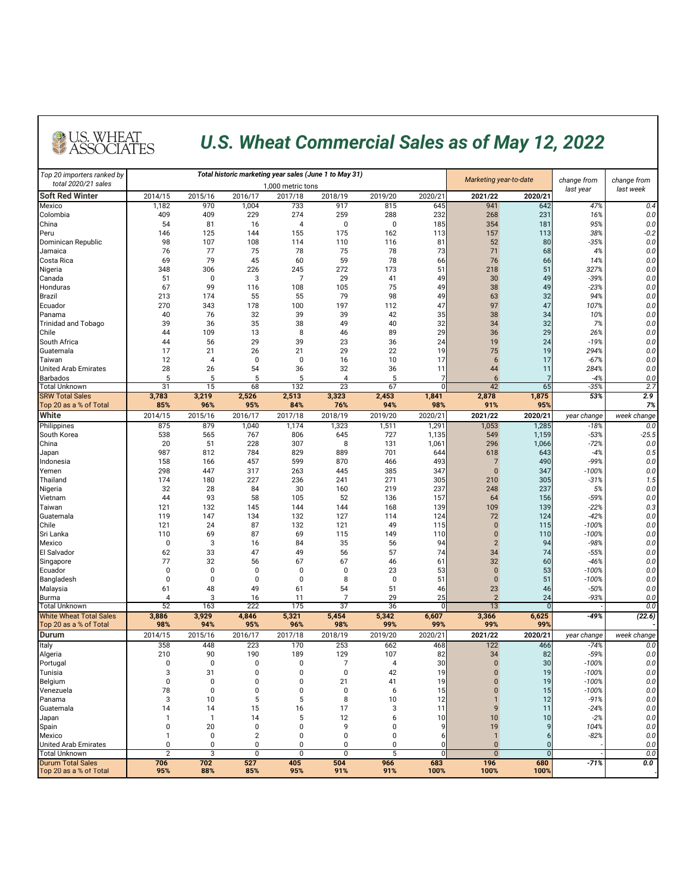| Top 20 importers ranked by                               |                |              |                  | Total historic marketing year sales (June 1 to May 31) |                      | Marketing year-to-date |                 |                 |              |                          |                          |
|----------------------------------------------------------|----------------|--------------|------------------|--------------------------------------------------------|----------------------|------------------------|-----------------|-----------------|--------------|--------------------------|--------------------------|
| total 2020/21 sales                                      |                |              |                  | 1.000 metric tons                                      |                      |                        |                 |                 |              | change from<br>last year | change from<br>last week |
| <b>Soft Red Winter</b>                                   | 2014/15        | 2015/16      | 2016/17          | 2017/18                                                | 2018/19              | 2019/20                | 2020/21         | 2021/22         | 2020/21      |                          |                          |
| Mexico                                                   | 1,182          | 970          | 1,004            | 733                                                    | 917                  | 815                    | 645             | 941             | 642          | 47%                      | 0.4                      |
| Colombia                                                 | 409            | 409          | 229              | 274                                                    | 259                  | 288                    | 232             | 268             | 231          | 16%                      | $0.0\,$                  |
| China<br>Peru                                            | 54<br>146      | 81<br>125    | 16<br>144        | 4<br>155                                               | $\mathbf 0$<br>175   | 0<br>162               | 185<br>113      | 354<br>157      | 181<br>113   | 95%<br>38%               | 0.0<br>$-0.2$            |
| Dominican Republic                                       | 98             | 107          | 108              | 114                                                    | 110                  | 116                    | 81              | 52              | 80           | $-35%$                   | 0.0                      |
| Jamaica                                                  | 76             | 77           | 75               | 78                                                     | 75                   | 78                     | 73              | 71              | 68           | 4%                       | 0.0                      |
| <b>Costa Rica</b>                                        | 69             | 79           | 45               | 60                                                     | 59                   | 78                     | 66              | 76              | 66           | 14%                      | 0.0                      |
| Nigeria                                                  | 348            | 306          | 226              | 245                                                    | 272                  | 173                    | 51              | 218             | 51           | 327%                     | 0.0                      |
| Canada                                                   | 51             | 0            | 3                |                                                        | 29                   | 41                     | 49              | 30              | 49           | $-39%$                   | 0.0                      |
| Honduras                                                 | 67             | 99           | 116              | 108                                                    | 105                  | 75                     | 49              | 38              | 49           | $-23%$                   | 0.0                      |
| Brazil                                                   | 213            | 174          | 55               | 55                                                     | 79                   | 98                     | 49              | 63              | 32           | 94%                      | 0.0                      |
| Ecuador                                                  | 270            | 343          | 178              | 100                                                    | 197                  | 112                    | 47              | 97              | 47           | 107%                     | 0.0                      |
| Panama                                                   | 40             | 76           | 32               | 39                                                     | 39                   | 42                     | 35              | 38              | 34           | 10%                      | 0.0                      |
| <b>Trinidad and Tobago</b>                               | 39             | 36           | 35               | 38                                                     | 49                   | 40                     | 32              | 34              | 32           | 7%                       | 0.0                      |
| <b>Chile</b>                                             | 44             | 109          | 13               | 8                                                      | 46                   | 89                     | 29              | 36              | 29           | 26%                      | 0.0                      |
| South Africa                                             | 44             | 56           | 29               | 39                                                     | 23                   | 36                     | 24              | 19              | 24           | $-19%$                   | 0.0                      |
| Guatemala                                                | 17             | 21           | 26               | 21                                                     | 29                   | 22                     | 19              | 75              | 19           | 294%                     | 0.0                      |
| Taiwan                                                   | 12             | 4            | $\mathbf 0$      | $\mathbf 0$                                            | 16                   | 10                     | 17              | $\sigma$        | 17           | $-67%$                   | 0.0                      |
| <b>United Arab Emirates</b>                              | 28             | 26           | 54               | 36                                                     | 32                   | 36                     |                 | 44              | 11           | 284%                     | 0.0                      |
| <b>Barbados</b><br><b>Total Unknown</b>                  | 5<br>31        | 5<br>15      | 5<br>68          | 132                                                    | 4<br>$\overline{23}$ | 5<br>67                |                 | 42              | 65           | $-4%$<br>$-35%$          | 0.0<br>2.7               |
| <b>SRW Total Sales</b>                                   | 3,783          | 3,219        | 2,526            | 2,513                                                  | 3,323                | 2,453                  | 1,841           | 2,878           | 1,875        | 53%                      | 2.9                      |
| Top 20 as a % of Total                                   | 85%            | 96%          | 95%              | 84%                                                    | 76%                  | 94%                    | 98%             | 91%             | 95%          |                          | 7%                       |
| <b>White</b>                                             | 2014/15        | 2015/16      | 2016/17          | 2017/18                                                | 2018/19              | 2019/20                | 2020/21         | 2021/22         | 2020/21      | year change              | week change              |
| Philippines                                              | 875            | 879          | 1,040            | 1,174                                                  | 1,323                | 1,511                  | 1,291           | 1,053           | 1,285        | $-18%$                   | 0.0                      |
| South Korea                                              | 538            | 565          | 767              | 806                                                    | 645                  | 727                    | 1,135           | 549             | 1,159        | $-53%$                   | $-25.5$                  |
| China                                                    | 20             | 51           | 228              | 307                                                    | 8                    | 131                    | 1,061           | 296             | 1,066        | $-72%$                   | $0.0\,$                  |
| Japan                                                    | 987            | 812          | 784              | 829                                                    | 889                  | 701                    | 644             | 618             | 643          | $-4%$                    | 0.5                      |
| Indonesia                                                | 158            | 166          | 457              | 599                                                    | 870                  | 466                    | 493             |                 | 490          | -99%                     | $0.0\,$                  |
| Yemen                                                    | 298            | 447          | 317              | 263                                                    | 445                  | 385                    | 347             |                 | 347          | $-100%$                  | $0.0\,$                  |
| Thailand                                                 | 174            | 180          | 227              | 236                                                    | 241                  | 271                    | 305             | 210             | 305          | $-31%$                   | 1.5                      |
| Nigeria                                                  | 32             | 28           | 84               | 30                                                     | 160                  | 219                    | 237             | 248             | 237          | 5%                       | $0.0\,$                  |
| Vietnam<br>Taiwan                                        | 44<br>121      | 93<br>132    | 58<br>145        | 105<br>144                                             | 52<br>144            | 136<br>168             | 157<br>139      | 64<br>109       | 156<br>139   | $-59%$<br>$-22%$         | $0.0\,$<br>0.3           |
| Guatemala                                                | 119            | 147          | 134              | 132                                                    | 127                  | 114                    | 124             | 72              | 124          | $-42%$                   | 0.0                      |
| Chile                                                    | 121            | 24           | 87               | 132                                                    | 121                  | 49                     | 115             | $\Omega$        | 115          | $-100%$                  | $0.0\,$                  |
| Sri Lanka                                                | 110            | 69           | 87               | 69                                                     | 115                  | 149                    | 110             |                 | 110          | $-100%$                  | $0.0\,$                  |
| Mexico                                                   |                | 3            | 16               | 84                                                     | 35                   | 56                     | 94              |                 | 94           | $-98%$                   | $0.0\,$                  |
| El Salvador                                              | 62             | 33           | 47               | 49                                                     | 56                   | 57                     | 74              | 34              | 74           | $-55%$                   | $0.0\,$                  |
| Singapore                                                | 77             | 32           | 56               | 67                                                     | 67                   | 46                     | 61              | 32              | 60           | $-46%$                   | $0.0\,$                  |
| Ecuador                                                  |                | $\Omega$     | 0                | $\mathbf{0}$                                           | 0                    | 23                     | 53              | $\Omega$        | 53           | $-100%$                  | $0.0\,$                  |
| Bangladesh                                               |                |              |                  |                                                        | 8                    |                        | 51              |                 | 51           | $-100%$                  | $0.0\,$                  |
| Malaysia                                                 | 61             | 48           | 49               | 61                                                     | 54                   | 51                     | 46              | 23              | 46           | $-50%$                   | $0.0\,$                  |
| <b>Burma</b>                                             |                | 3            | 16               | 11                                                     |                      | 29                     | 25              | $\overline{2}$  | 24           | $-93%$                   | 0.0                      |
| <b>Total Unknown</b>                                     | 52             | 163          | 222              | 175                                                    | $\overline{37}$      | 36                     | U               | $\overline{13}$ | $\Omega$     |                          | 0.0                      |
| <b>White Wheat Total Sales</b><br>Top 20 as a % of Total | 3,886<br>98%   | 3,929<br>94% | 4,846<br>95%     | 5,321<br>96%                                           | 5,454<br>98%         | 5,342<br>99%           | 6,607<br>99%    | 3,366<br>99%    | 6,625<br>99% | $-49%$                   | (22.6)                   |
| <b>Durum</b>                                             | 2014/15        | 2015/16      | 2016/17          | 2017/18                                                | 2018/19              | 2019/20                | 2020/21         | 2021/22         | 2020/21      | year change              | week change              |
| <b>Italy</b>                                             | 358            | 448          | 223              | 170                                                    | 253                  | 662                    | 468             | 122             | 466          | $-74%$                   | 0.0                      |
| Algeria                                                  | 210            | 90           | 190              | 189                                                    | 129                  | 107                    | 82              | 34              | 82           | $-59%$                   | $0.0\,$                  |
| Portugal                                                 |                | $\Omega$     |                  |                                                        |                      |                        | 30              |                 | 30           | $-100%$                  | 0.0                      |
| Tunisia                                                  |                | 31           |                  |                                                        | 0                    | 42                     | 19              |                 | 19           | $-100%$                  | $0.0\,$                  |
| Belgium                                                  |                |              |                  |                                                        | 21                   | 41                     | 19              |                 | 19           | $-100%$                  | 0.0                      |
| Venezuela                                                | 78             |              |                  |                                                        | ∩                    |                        | 15 <sup>1</sup> |                 | 15           | $-100%$                  | 0.0                      |
| Panama                                                   | 3              | 10           | 5                |                                                        | 8                    | 10                     | 12              |                 | 12           | $-91%$                   | 0.0                      |
| Guatemala                                                | 14             | 14           | 15               | 16                                                     | 17                   |                        | 11              |                 | 11           | $-24%$                   | $0.0\,$                  |
| Japan                                                    |                |              | 14               |                                                        | 12                   |                        | 10              | 10              | 10           | $-2%$                    | 0.0                      |
| Spain                                                    |                | 20           |                  |                                                        |                      |                        |                 | 19              |              | 104%                     | $0.0\,$                  |
| <b>Mexico</b>                                            |                | 0            |                  |                                                        |                      |                        |                 |                 |              | $-82%$                   | $0.0\,$                  |
| <b>United Arab Emirates</b><br><b>Total Unknown</b>      | $\overline{2}$ | 3            | 0<br>$\mathbf 0$ | $\mathbf{0}$                                           | $\mathbf{0}$         | 5                      |                 | $\overline{0}$  |              |                          | 0.0<br>0.0               |
| <b>Durum Total Sales</b>                                 | 706            | 702          | 527              | 405                                                    | 504                  | 966                    | 683             | 196             | 680          | $-71%$                   | 0.0                      |
| Top 20 as a % of Total                                   | 95%            | 88%          | 85%              | 95%                                                    | 91%                  | 91%                    | 100%            | 100%            | 100%         |                          |                          |



## *U.S. Wheat Commercial Sales as of May 12, 2022*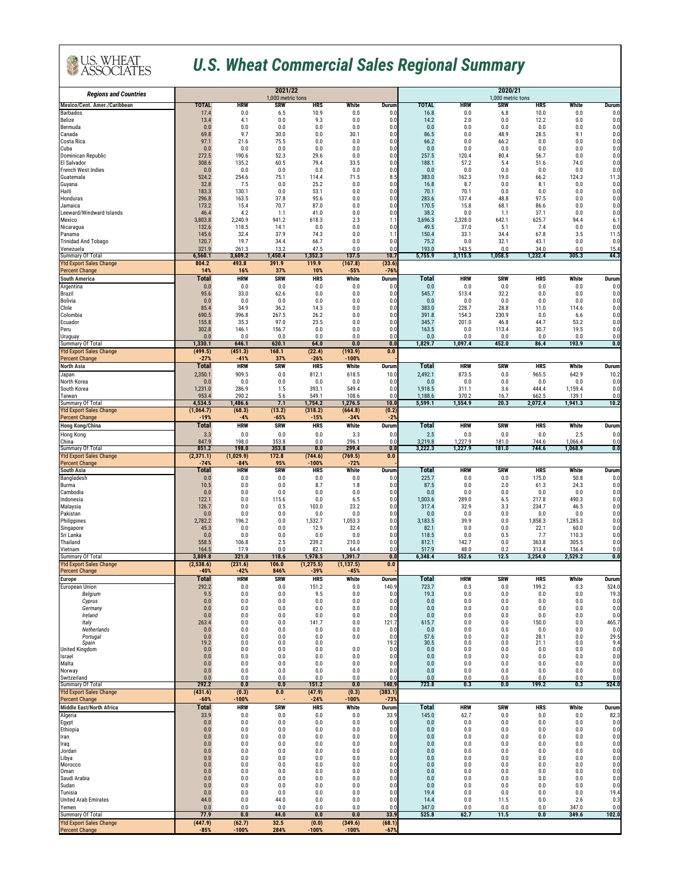| <b>Regions and Countries</b>                              |                         | 2020/21<br>1,000 metric tons |                                  |                       |                                  |                                  |                         |                     |                         |                     |                         |                                             |
|-----------------------------------------------------------|-------------------------|------------------------------|----------------------------------|-----------------------|----------------------------------|----------------------------------|-------------------------|---------------------|-------------------------|---------------------|-------------------------|---------------------------------------------|
| <b>Mexico/Cent. Amer./Caribbean</b>                       | TOTAL                   | <b>HRW</b>                   | 1,000 metric tons<br><b>SRW</b>  | <b>HRS</b>            | <b>White</b>                     | <b>Durum</b>                     | TOTAL                   | <b>HRW</b>          | <b>SRW</b>              | <b>HRS</b>          | White                   | <b>Durum</b>                                |
| <b>Barbados</b><br><b>Belize</b>                          | 17.4<br>13.4            | 0.0<br>4.1                   | 6.5<br>0.0                       | 10.9<br>9.3           | 0.0<br>0.0                       | 0.0<br>0.0                       | 16.8<br>14.2            | 0.0<br>2.0          | 6.8<br>0.0              | 10.0<br>12.2        | 0.0<br>0.0              | 0.0<br>0.0                                  |
| Bermuda                                                   | 0.0                     | 0.0                          | 0.0                              | 0.0                   | 0.0                              | 0.0                              | 0.0                     | 0.0                 | 0.0                     | 0.0                 | 0.0                     | 0.0                                         |
| Canada<br>Costa Rica                                      | 69.8<br>97.1            | 9.7<br>21.6                  | 30.0<br>75.5                     | 0.0<br>0.0            | 30.1<br>0.0                      | 0.0<br>0.0                       | 86.5<br>66.2            | 0.0<br>0.0          | 48.9<br>66.2            | 28.5<br>0.0         | 9.1<br>0.0              | 0.0<br>0.0                                  |
| Cuba                                                      | 0.0                     | 0.0                          | 0.0                              | 0.0                   | 0.0                              | 0.0                              | 0.0                     | 0.0                 | 0.0                     | 0.0                 | 0.0                     | 0.0                                         |
| Dominican Republic<br>El Salvador                         | 272.5<br>308.6          | 190.6<br>135.2               | 52.3<br>60.5                     | 29.6<br>79.4          | 0.0<br>33.5                      | 0.0<br>0.0                       | 257.5<br>188.1          | 120.4<br>57.2       | 80.4<br>5.4             | 56.7<br>51.6        | 0.0<br>74.0             | 0.0<br>0.0                                  |
| <b>French West Indies</b>                                 | 0.0                     | 0.0                          | 0.0                              | 0.0                   | 0.0                              | 0.0                              | 0.0                     | 0.0                 | 0.0                     | 0.0                 | 0.0                     | 0.0                                         |
| Guatemala<br>Guyana                                       | 524.2<br>32.8           | 254.6<br>7.5                 | 75.1<br>0.0                      | 114.4<br>25.2         | 71.5<br>0.0                      | 8.5<br>0.0                       | 383.0<br>16.8           | 162.3<br>8.7        | 19.0<br>0.0             | 66.2<br>8.1         | 124.3<br>0.0            | 11.3<br>0.0                                 |
| Haiti<br>Honduras                                         | 183.3<br>296.8          | 130.1<br>163.5               | 0.0<br>37.8                      | 53.1<br>95.6          | 0.0<br>0.0                       | 0.0<br>0.0                       | 70.1<br>283.6           | 70.1<br>137.4       | 0.0<br>48.8             | 0.0<br>97.5         | 0.0<br>0.0              | 0.0<br>0.0                                  |
| Jamaica                                                   | 173.2                   | 15.4                         | 70.7                             | 87.0                  | 0.0                              | 0.0                              | 170.5                   | 15.8                | 68.1                    | 86.6                | 0.0                     | 0.0                                         |
| Leeward/Windward Islands<br><b>Mexico</b>                 | 46.4<br>3,803.8         | 4.2<br>2,240.9               | 1.1<br>941.2                     | 41.0<br>618.3         | 0.0<br>2.3                       | 0.0<br>1.1                       | 38.2<br>3,696.3         | 0.0<br>2,328.0      | 1.1<br>642.7            | 37.1<br>625.7       | 0.0<br>94.4             | 0.0<br>6.1                                  |
| Nicaragua                                                 | 132.6                   | 118.5                        | 14.1                             | 0.0                   | 0.0                              | 0.0                              | 49.5                    | 37.0                | 5.1                     | 7.4                 | 0.0                     | 0.0                                         |
| Panama<br><b>Trinidad And Tobago</b>                      | 145.6<br>120.7          | 32.4<br>19.7                 | 37.9<br>34.4                     | 74.3<br>66.7          | 0.0<br>0.0                       | 1.1<br>0.0                       | 150.4<br>75.2           | 33.1<br>0.0         | 34.4<br>32.1            | 67.8<br>43.1        | 3.5<br>0.0              | 11.5<br>0.0                                 |
| Venezuela                                                 | 321.9                   | 261.3                        | 13.2                             | 47.5                  | 0.0                              | 0.0                              | 193.0                   | 143.5               | 0.0                     | 34.0                | 0.0                     | 15.4                                        |
| <b>Summary Of Total</b><br><b>Ytd Export Sales Change</b> | 6,560.1<br>804.2        | 3,609.2<br>493.8             | 1,450.4<br>391.9                 | 1,352.3<br>119.9      | 137.5<br>(167.8)                 | 10.7<br>(33.6)                   | 5,755.9                 | 3,115.5             | 1,058.5                 | 1,232.4             | 305.3                   | 44.3                                        |
| <b>Percent Change</b>                                     | 14%                     | 16%                          | 37%                              | 10%                   | $-55%$                           | $-76%$                           |                         |                     |                         |                     |                         |                                             |
| <b>South America</b><br>Argentina                         | <b>Total</b><br>0.0     | <b>HRW</b><br>0.0            | <b>SRW</b><br>0.0                | <b>HRS</b><br>0.0     | White<br>0.0                     | <b>Durum</b><br>0.0              | <b>Total</b><br>0.0     | <b>HRW</b><br>0.0   | <b>SRW</b><br>0.0       | <b>HRS</b><br>0.0   | White<br>0.0            | <b>Durum</b><br>0.0                         |
| <b>Brazil</b>                                             | 95.6                    | 33.0                         | 62.6                             | 0.0                   | 0.0                              | 0.0                              | 545.7                   | 513.4               | 32.2                    | 0.0                 | 0.0                     | 0.0                                         |
| <b>Bolivia</b><br>Chile                                   | 0.0<br>85.4             | 0.0<br>34.9                  | 0.0<br>36.2                      | 0.0<br>14.3           | 0.0<br>0.0                       | 0.0<br>0.0                       | 0.0<br>383.0            | 0.0<br>228.7        | 0.0<br>28.8             | 0.0<br>11.0         | 0.0<br>114.6            | 0.0<br>0.0                                  |
| Colombia                                                  | 690.5                   | 396.8                        | 267.5                            | 26.2                  | 0.0                              | 0.0                              | 391.8                   | 154.3               | 230.9                   | 0.0                 | 6.6                     | 0.0                                         |
| Ecuador<br>Peru                                           | 155.8<br>302.8          | 35.3<br>146.1                | 97.0<br>156.7                    | 23.5<br>0.0           | 0.0<br>0.0                       | 0.0<br>0.0                       | 345.7<br>163.5          | 201.0<br>0.0        | 46.8<br>113.4           | 44.7<br>30.7        | 53.2<br>19.5            | 0.0<br>0.0                                  |
| <b>Uruguay</b>                                            | 0.0                     | 0.0                          | 0.0                              | 0.0                   | 0.0                              | 0.0                              | 0.0                     | 0.0                 | 0.0                     | 0.0                 | 0.0                     | 0.0                                         |
| Summary Of Total<br><b>Ytd Export Sales Change</b>        | 1,330.1<br>(499.5)      | 646.1<br>(451.3)             | 620.1<br>168.1                   | 64.0<br>(22.4)        | 0.0<br>(193.9)                   | 0.0<br>0.0                       | 1,829.7                 | 1,097.4             | 452.0                   | 86.4                | 193.9                   | 0.0                                         |
| <b>Percent Change</b>                                     | $-27%$                  | $-41%$                       | 37%                              | $-26%$                | $-100%$                          |                                  |                         |                     |                         |                     |                         |                                             |
| <b>North Asia</b><br>Japan                                | <b>Total</b><br>2,350.1 | <b>HRW</b><br>909.5          | <b>SRW</b><br>0.0                | <b>HRS</b><br>812.1   | White<br>618.5                   | <b>Durum</b><br>10.0             | <b>Total</b><br>2,492.1 | <b>HRW</b><br>873.5 | <b>SRW</b><br>0.0       | <b>HRS</b><br>965.5 | <b>White</b><br>642.9   | <b>Durum</b><br>10.2                        |
| North Korea                                               | 0.0                     | 0.0                          | 0.0                              | 0.0                   | 0.0                              | 0.0                              | 0.0                     | 0.0                 | 0.0                     | 0.0                 | 0.0                     | 0.0                                         |
| South Korea<br>Taiwan                                     | 1,231.0<br>953.4        | 286.9<br>290.2               | 1.5<br>5.6                       | 393.1<br>549.1        | 549.4<br>108.6                   | 0.0<br>0.0                       | 1,918.5<br>1,188.6      | 311.1<br>370.2      | 3.6<br>16.7             | 444.4<br>662.5      | 1,159.4<br>139.1        | 0.0<br>0.0                                  |
| <b>Summary Of Total</b>                                   | 4,534.5                 | 1,486.6                      | 7.1                              | 1,754.2               | 1,276.5                          | 10.0                             | 5,599.1                 | 1,554.9             | 20.3                    | 2,072.4             | 1,941.3                 | 10.2                                        |
| <b>Ytd Export Sales Change</b><br><b>Percent Change</b>   | (1, 064.7)<br>$-19%$    | (68.3)<br>$-4%$              | (13.2)<br>$-65%$                 | (318.2)<br>$-15%$     | (664.8)<br>$-34%$                | (0.2)<br>$-2%$                   |                         |                     |                         |                     |                         |                                             |
| <b>Hong Kong/China</b>                                    | <b>Total</b>            | <b>HRW</b>                   | <b>SRW</b>                       | <b>HRS</b>            | White                            | <b>Durum</b>                     | <b>Total</b>            | <b>HRW</b>          | <b>SRW</b>              | <b>HRS</b>          | <b>White</b>            | <b>Durum</b>                                |
| <b>Hong Kong</b><br>China                                 | 3.3<br>847.9            | 0.0<br>198.0                 | 0.0<br>353.8                     | 0.0<br>0.0            | 3.3<br>296.1                     | 0.0<br>0.0                       | 2.5<br>3,219.8          | 0.0<br>1,227.9      | 0.0<br>181.0            | 0.0<br>744.6        | 2.5<br>1,066.4          | 0.0<br>0.0                                  |
| <b>Summary Of Total</b>                                   | 851.2                   | 198.0                        | 353.8                            | 0.0                   | 299.4                            | 0.0                              | 3,222.3                 | 1,227.9             | 181.0                   | 744.6               | 1,068.9                 | 0.0                                         |
| <b>Ytd Export Sales Change</b><br><b>Percent Change</b>   | (2,371.1)<br>$-74%$     | (1,029.9)<br>$-84%$          | 172.8<br>95%                     | (744.6)<br>$-100%$    | (769.5)<br>$-72%$                | 0.0                              |                         |                     |                         |                     |                         |                                             |
| <b>South Asia</b>                                         | Total                   | <b>HRW</b>                   | <b>SRW</b>                       | <b>HRS</b>            | White                            | <b>Durum</b>                     | <b>Total</b>            | <b>HRW</b>          | <b>SRW</b>              | <b>HRS</b>          | White                   | <b>Durum</b>                                |
| Bangladesh<br><b>Burma</b>                                | 0.0<br>10.5             | 0.0<br>0.0                   | 0.0<br>0.0                       | 0.0<br>8.7            | 0.0<br>1.8                       | 0.0<br>0.0                       | 225.7<br>87.5           | 0.0<br>0.0          | 0.0<br>2.0              | 175.0<br>61.3       | 50.8<br>24.3            | 0.0<br>0.0                                  |
| Cambodia                                                  | 0.0<br>122.1            | 0.0<br>0.0                   | 0.0                              | 0.0<br>0.0            | 0.0<br>6.5                       | 0.0                              | 0.0                     | 0.0                 | 0.0                     | 0.0<br>217.8        | 0.0<br>490.3            | 0.0                                         |
| Indonesia<br>Malaysia                                     | 126.7                   | 0.0                          | 115.6<br>0.5                     | 103.0                 | 23.2                             | 0.0<br>0.0                       | 1,003.6<br>317.4        | 289.0<br>32.9       | 6.5<br>3.3              | 234.7               | 46.5                    | 0.0<br>0.0                                  |
| Pakistan<br>Philippines                                   | 0.0<br>2,782.2          | 0.0<br>196.2                 | 0.0<br>0.0                       | 0.0<br>1,532.7        | 0.0<br>1,053.3                   | 0.0<br>0.0                       | 0.0<br>3,183.5          | 0.0<br>39.9         | 0.0<br>$0.0\,$          | 0.0<br>1,858.3      | 0.0<br>1,285.3          | 0.0<br>0.0                                  |
| Singapore                                                 | 45.3                    | 0.0                          | 0.0                              | 12.9                  | 32.4                             | 0.0                              | 82.1                    | 0.0                 | 0.0                     | 22.1                | 60.0                    | 0.0                                         |
| Sri Lanka<br>Thailand                                     | 0.0<br>558.5            | 0.0<br>106.8                 | 0.0<br>2.5                       | 0.0<br>239.2          | 0.0<br>210.0                     | 0.0<br>0.0                       | 118.5<br>812.1          | 0.0<br>142.7        | 0.5<br>0.0              | 7.7<br>363.8        | 110.3<br>305.5          | 0.0<br>0.0                                  |
| Vietnam                                                   | 164.5                   | 17.9                         | 0.0                              | 82.1                  | 64.4                             | 0.0                              | 517.9                   | 48.0                | 0.2                     | 313.4               | 156.4                   | 0.0                                         |
| <b>Summary Of Total</b><br><b>Ytd Export Sales Change</b> | 3,809.8<br>(2,538.6)    | 321.0<br>(231.6)             | 118.6<br>106.0                   | 1,978.5<br>(1, 275.5) | 1,391.7<br>(1, 137.5)            | $\overline{\mathbf{0.0}}$<br>0.0 | 6,348.4                 | 552.6               | 12.5                    | 3,254.0             | 2,529.2                 | $\overline{\mathbf{0.0}}$                   |
| <b>Percent Change</b>                                     | $-40%$                  | $-42%$                       | 846%                             | $-39%$                | $-45%$                           |                                  |                         |                     |                         |                     |                         |                                             |
| <b>Europe</b><br><b>European Union</b>                    | <b>Total</b><br>292.2   | <b>HRW</b><br>0.0            | <b>SRW</b><br>0.0                | <b>HRS</b><br>151.2   | White<br>0.0                     | <b>Durum</b><br>140.9            | <b>Total</b><br>723.7   | <b>HRW</b><br>0.3   | <b>SRW</b><br>0.0       | <b>HRS</b><br>199.2 | <b>White</b><br>0.3     | <b>Durum</b><br>524.0                       |
| Belgium                                                   | 9.5                     | $0.0\,$                      | 0.0                              | 9.5                   | 0.0                              | 0.0                              | 19.3                    | 0.0                 | 0.0                     | 0.0                 | 0.0                     | 19.3                                        |
| Cyprus<br>Germany                                         | 0.0<br>0.0              | 0.0<br>0.0                   | 0.0<br>0.0                       | 0.0<br>0.0            | 0.0<br>0.0                       | 0.0<br>0.0                       | $0.0\,$<br>0.0          | $0.0\,$<br>0.0      | 0.0<br>0.0              | $0.0\,$<br>0.0      | 0.0<br>0.0              | 0.0<br>0.0                                  |
| Ireland                                                   | 0.0                     | 0.0                          | 0.0                              | 0.0                   | 0.0                              | 0.0                              | $0.0\,$                 | $0.0\,$             | 0.0                     | $0.0\,$             | 0.0                     | 0.0                                         |
| <b>Italy</b><br>Netherlands                               | 263.4<br>0.0            | 0.0<br>0.0                   | 0.0<br>0.0                       | 141.7<br>0.0          | 0.0<br>0.0                       | 121.7<br>0.0                     | 615.7<br>0.0            | 0.0<br>0.0          | 0.0<br>0.0              | 150.0<br>0.0        | 0.0<br>0.0              | 465.7<br>0.0                                |
| Portugal<br>Spain                                         | 0.0<br>19.2             | 0.0<br>0.0                   | 0.0<br>0.0                       | 0.0<br>0.0            | 0.0                              | 0.0<br>19.2                      | 57.6<br>30.5            | 0.0<br>0.0          | 0.0<br>0.0              | 28.1<br>21.1        | 0.0<br>0.0              | $\begin{bmatrix} 29.5 \\ 9.4 \end{bmatrix}$ |
| <b>United Kingdom</b>                                     | 0.0                     | 0.0                          | 0.0                              | 0.0                   | 0.0                              | 0.0                              | 0.0                     | 0.0                 | 0.0                     | 0.0                 | 0.0                     | 0.0                                         |
| <b>Israel</b><br>Malta                                    | 0.0<br>0.0              | 0.0<br>0.0                   | 0.0<br>0.0                       | 0.0<br>0.0            | 0.0<br>0.0                       | 0.0<br>0.0                       | $0.0\,$<br>0.0          | $0.0\,$<br>0.0      | 0.0<br>0.0              | 0.0<br>0.0          | 0.0<br>0.0              | 0.0<br>0.0                                  |
| Norway                                                    | 0.0                     | 0.0                          | 0.0                              | 0.0                   | 0.0                              | 0.0                              | 0.0                     | 0.0                 | 0.0                     | 0.0                 | 0.0                     | 0.0                                         |
| Switzerland<br><b>Summary Of Total</b>                    | 0.0<br>292.2            | 0.0<br>0.0                   | 0.0<br>$\overline{\mathbf{0.0}}$ | 0.0<br>151.2          | 0.0<br>$\overline{\mathbf{0.0}}$ | 0.0<br>140.9                     | 0.0<br>723.8            | 0.0<br>0.3          | 0.0<br>$\overline{0.0}$ | 0.0<br>199.2        | 0.0<br>$\overline{0.3}$ | 0.0<br>524.0                                |
| <b>Ytd Export Sales Change</b><br><b>Percent Change</b>   | (431.6)<br>$-60%$       | (0.3)<br>$-100%$             | 0.0                              | (47.9)<br>$-24%$      | (0.3)<br>$-100%$                 | (383.1)<br>$-73%$                |                         |                     |                         |                     |                         |                                             |
| <b>Middle East/North Africa</b>                           | <b>Total</b>            | <b>HRW</b>                   | <b>SRW</b>                       | <b>HRS</b>            | White                            | <b>Durum</b>                     | <b>Total</b>            | <b>HRW</b>          | <b>SRW</b>              | <b>HRS</b>          | White                   | <b>Durum</b>                                |
| Algeria                                                   | 33.9<br>0.0             | 0.0<br>0.0                   | 0.0<br>0.0                       | 0.0<br>0.0            | 0.0<br>0.0                       | 33.9<br>0.0                      | 145.0<br>0.0            | 62.7<br>0.0         | 0.0<br>0.0              | 0.0<br>0.0          | 0.0<br>0.0              | 82.3<br>0.0                                 |
| Egypt<br>Ethiopia                                         | 0.0                     | 0.0                          | 0.0                              | 0.0                   | 0.0                              | 0.0                              | 0.0                     | 0.0                 | 0.0                     | 0.0                 | 0.0                     | 0.0                                         |
| Iran<br>Iraq                                              | 0.0<br>0.0              | 0.0<br>0.0                   | 0.0<br>0.0                       | $0.0\,$<br>0.0        | 0.0<br>0.0                       | 0.0<br>0.0                       | 0.0<br>0.0              | 0.0<br>0.0          | 0.0<br>0.0              | 0.0<br>0.0          | 0.0<br>0.0              | 0.0<br>0.0                                  |
| Jordan                                                    | 0.0                     | 0.0                          | 0.0                              | 0.0                   | 0.0                              | 0.0                              | 0.0                     | 0.0                 | 0.0                     | 0.0                 | 0.0                     | 0.0                                         |
| Libya<br>Morocco                                          | 0.0<br>0.0              | 0.0<br>0.0                   | 0.0<br>0.0                       | 0.0<br>0.0            | 0.0<br>0.0                       | 0.0<br>0.0                       | 0.0<br>0.0              | $0.0\,$<br>0.0      | 0.0<br>0.0              | 0.0<br>0.0          | 0.0<br>0.0              | 0.0<br>0.0                                  |
| Oman<br>Saudi Arabia                                      | 0.0<br>0.0              | 0.0<br>0.0                   | 0.0<br>0.0                       | 0.0<br>0.0            | 0.0<br>0.0                       | 0.0<br>0.0                       | 0.0<br>0.0              | 0.0<br>0.0          | 0.0<br>0.0              | 0.0<br>0.0          | 0.0<br>0.0              | 0.0<br>0.0                                  |
| Sudan                                                     | 0.0                     | 0.0                          | 0.0                              | 0.0                   | 0.0                              | 0.0                              | 0.0                     | 0.0                 | 0.0                     | 0.0                 | 0.0                     | 0.0                                         |
| Tunisia<br><b>United Arab Emirates</b>                    | 0.0<br>44.0             | 0.0<br>0.0                   | 0.0<br>44.0                      | 0.0<br>0.0            | 0.0<br>0.0                       | 0.0<br>0.0                       | 19.4<br>14.4            | 0.0<br>0.0          | 0.0<br>11.5             | 0.0<br>0.0          | 0.0<br>2.6              | 19.4<br>0.3                                 |
| Yemen                                                     | 0.0                     | 0.0                          | 0.0                              | $0.0\,$               | 0.0                              | 0.0                              | 347.0                   | $0.0\,$             | 0.0                     | 0.0                 | 347.0                   | 0.0                                         |
| <b>Summary Of Total</b><br><b>Ytd Export Sales Change</b> | 77.9<br>(447.9)         | 0.0<br>(62.7)                | 44.0<br>32.5                     | 0.0<br>(0.0)          | 0.0<br>(349.6)                   | 33.9<br>(68.1)                   | 525.8                   | 62.7                | 11.5                    | 0.0                 | 349.6                   | 102.0                                       |
| <b>Percent Change</b>                                     | $-85%$                  | $-100%$                      | 284%                             | $-100%$               | $-100%$                          | $-67%$                           |                         |                     |                         |                     |                         |                                             |

## *U.S. Wheat Commercial Sales Regional Summary*

U.S. WHEAT